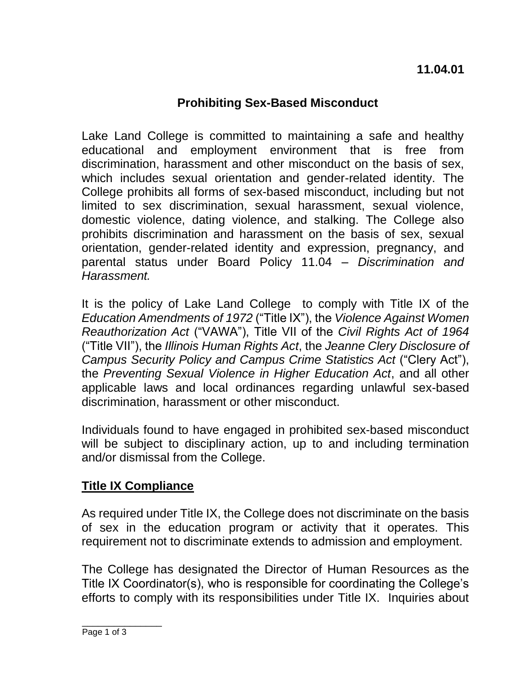## **Prohibiting Sex-Based Misconduct**

Lake Land College is committed to maintaining a safe and healthy educational and employment environment that is free from discrimination, harassment and other misconduct on the basis of sex, which includes sexual orientation and gender-related identity. The College prohibits all forms of sex-based misconduct, including but not limited to sex discrimination, sexual harassment, sexual violence, domestic violence, dating violence, and stalking. The College also prohibits discrimination and harassment on the basis of sex, sexual orientation, gender-related identity and expression, pregnancy, and parental status under Board Policy 11.04 – *Discrimination and Harassment.* 

It is the policy of Lake Land College to comply with Title IX of the *Education Amendments of 1972* ("Title IX"), the *Violence Against Women Reauthorization Act* ("VAWA"), Title VII of the *Civil Rights Act of 1964* ("Title VII"), the *Illinois Human Rights Act*, the *Jeanne Clery Disclosure of Campus Security Policy and Campus Crime Statistics Act* ("Clery Act"), the *Preventing Sexual Violence in Higher Education Act*, and all other applicable laws and local ordinances regarding unlawful sex-based discrimination, harassment or other misconduct.

Individuals found to have engaged in prohibited sex-based misconduct will be subject to disciplinary action, up to and including termination and/or dismissal from the College.

## **Title IX Compliance**

As required under Title IX, the College does not discriminate on the basis of sex in the education program or activity that it operates. This requirement not to discriminate extends to admission and employment.

The College has designated the Director of Human Resources as the Title IX Coordinator(s), who is responsible for coordinating the College's efforts to comply with its responsibilities under Title IX. Inquiries about

\_\_\_\_\_\_\_\_\_\_\_\_\_\_\_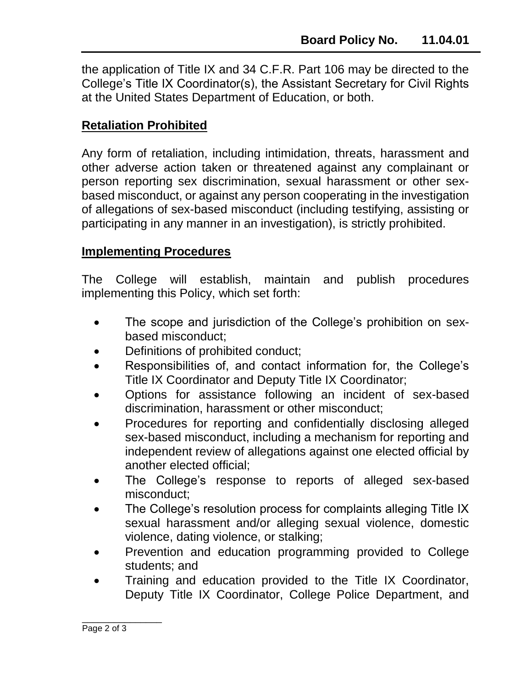the application of Title IX and 34 C.F.R. Part 106 may be directed to the College's Title IX Coordinator(s), the Assistant Secretary for Civil Rights at the United States Department of Education, or both.

## **Retaliation Prohibited**

Any form of retaliation, including intimidation, threats, harassment and other adverse action taken or threatened against any complainant or person reporting sex discrimination, sexual harassment or other sexbased misconduct, or against any person cooperating in the investigation of allegations of sex-based misconduct (including testifying, assisting or participating in any manner in an investigation), is strictly prohibited.

## **Implementing Procedures**

The College will establish, maintain and publish procedures implementing this Policy, which set forth:

- The scope and jurisdiction of the College's prohibition on sexbased misconduct;
- Definitions of prohibited conduct;
- Responsibilities of, and contact information for, the College's Title IX Coordinator and Deputy Title IX Coordinator;
- Options for assistance following an incident of sex-based discrimination, harassment or other misconduct;
- Procedures for reporting and confidentially disclosing alleged sex-based misconduct, including a mechanism for reporting and independent review of allegations against one elected official by another elected official;
- The College's response to reports of alleged sex-based misconduct;
- The College's resolution process for complaints alleging Title IX sexual harassment and/or alleging sexual violence, domestic violence, dating violence, or stalking;
- Prevention and education programming provided to College students; and
- Training and education provided to the Title IX Coordinator, Deputy Title IX Coordinator, College Police Department, and

\_\_\_\_\_\_\_\_\_\_\_\_\_\_\_